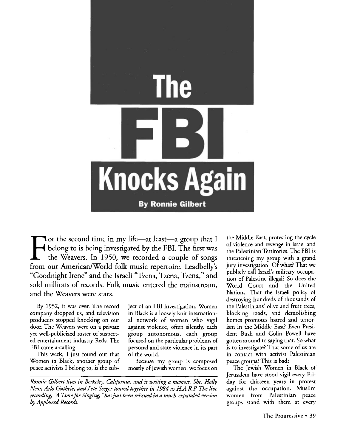

 $\prod_{\text{from }d}$ **Or the second time in my life—at least—a group that I belong to is being investigated by the FBI. The first was the Weavers. In 1950, we recorded a couple of songs from our American/World folk music repertoire, Leadbelly's "Goodnight Irene" and the Israeli "Tzena, Tzena, Tzena," and sold millions of records. Folk music entered the mainstream, and the Weavers were stars.**

By 1952, it was over. The record company dropped us, and television producers stopped knocking on our door. The Weavers were on a private yet well-publicized roster of suspected entertainment industry Reds. The FBI came a-calling.

This week, I just found out that Women in Black, another group of peace activists I belong to, is the subject of an FBI investigation. Women in Black is a loosely knit international network of women who vigil against violence, often silendy, each group autonomous, each group focused on the particular problems of personal and state violence in its part of the world.

Because my group is composed mostly of Jewish women, we focus on

*Ronnie Gilbert lives in Berkeley, California, and is writing a. memoir. She, Holly Near, Arlo Guthrie, and Pete Seeger toured together in 1984 as HA.R.P. The live recording, "A Time for Singing, '' has just been reissued in a much-expanded version by Appleseed Records.*

the Middle East, protesting the cycle of violence and revenge in Israel and the Palestinian Territories. The FBI is threatening my group with a grand jury investigation. Of what? That we publicly call Israel's military occupation of Palestine illegal? So does the World Court and the United Nations. That the Israeli policy of destroying hundreds of thousands of the Palestinians' olive and fruit trees, blocking roads, and demolishing homes promotes hatred and terrorism in the Middle East? Even President Bush and Colin Powell have gotten around to saying that. So what is to investigate? That some of us are in contact with activist Palestinian peace groups? This is bad?

The Jewish Women in Black of Jerusalem have stood vigil every Friday for thirteen years in protest against the occupation. Muslim women from Palestinian peace groups stand with them at every